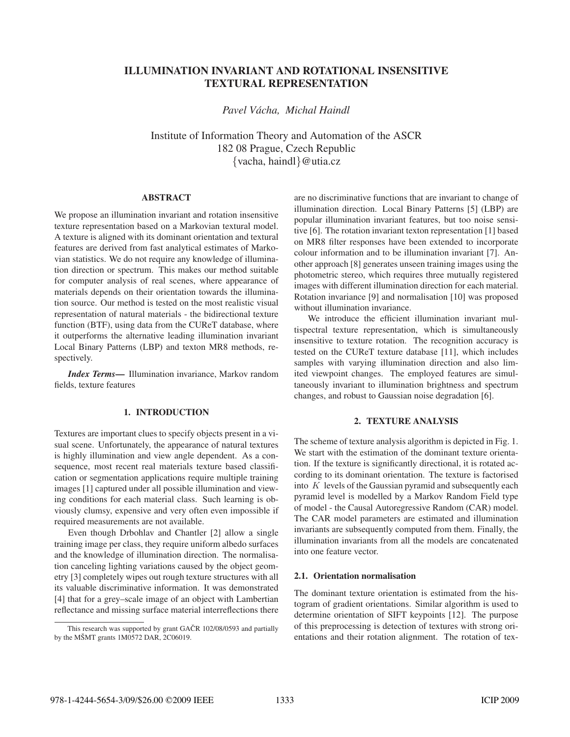# ILLUMINATION INVARIANT AND ROTATIONAL INSENSITIVE TEXTURAL REPRESENTATION

*Pavel Vacha, Michal Haindl ´*

Institute of Information Theory and Automation of the ASCR 182 08 Prague, Czech Republic {vacha, haindl}@utia.cz

#### ABSTRACT

We propose an illumination invariant and rotation insensitive texture representation based on a Markovian textural model. A texture is aligned with its dominant orientation and textural features are derived from fast analytical estimates of Markovian statistics. We do not require any knowledge of illumination direction or spectrum. This makes our method suitable for computer analysis of real scenes, where appearance of materials depends on their orientation towards the illumination source. Our method is tested on the most realistic visual representation of natural materials - the bidirectional texture function (BTF), using data from the CUReT database, where it outperforms the alternative leading illumination invariant Local Binary Patterns (LBP) and texton MR8 methods, respectively.

*Index Terms*— Illumination invariance, Markov random fields, texture features

## 1. INTRODUCTION

Textures are important clues to specify objects present in a visual scene. Unfortunately, the appearance of natural textures is highly illumination and view angle dependent. As a consequence, most recent real materials texture based classification or segmentation applications require multiple training images [1] captured under all possible illumination and viewing conditions for each material class. Such learning is obviously clumsy, expensive and very often even impossible if required measurements are not available.

Even though Drbohlav and Chantler [2] allow a single training image per class, they require uniform albedo surfaces and the knowledge of illumination direction. The normalisation canceling lighting variations caused by the object geometry [3] completely wipes out rough texture structures with all its valuable discriminative information. It was demonstrated [4] that for a grey–scale image of an object with Lambertian reflectance and missing surface material interreflections there are no discriminative functions that are invariant to change of illumination direction. Local Binary Patterns [5] (LBP) are popular illumination invariant features, but too noise sensitive [6]. The rotation invariant texton representation [1] based on MR8 filter responses have been extended to incorporate colour information and to be illumination invariant [7]. Another approach [8] generates unseen training images using the photometric stereo, which requires three mutually registered images with different illumination direction for each material. Rotation invariance [9] and normalisation [10] was proposed without illumination invariance.

We introduce the efficient illumination invariant multispectral texture representation, which is simultaneously insensitive to texture rotation. The recognition accuracy is tested on the CUReT texture database [11], which includes samples with varying illumination direction and also limited viewpoint changes. The employed features are simultaneously invariant to illumination brightness and spectrum changes, and robust to Gaussian noise degradation [6].

## 2. TEXTURE ANALYSIS

The scheme of texture analysis algorithm is depicted in Fig. 1. We start with the estimation of the dominant texture orientation. If the texture is significantly directional, it is rotated according to its dominant orientation. The texture is factorised into  $K$  levels of the Gaussian pyramid and subsequently each pyramid level is modelled by a Markov Random Field type of model - the Causal Autoregressive Random (CAR) model. The CAR model parameters are estimated and illumination invariants are subsequently computed from them. Finally, the illumination invariants from all the models are concatenated into one feature vector.

## 2.1. Orientation normalisation

The dominant texture orientation is estimated from the histogram of gradient orientations. Similar algorithm is used to determine orientation of SIFT keypoints [12]. The purpose of this preprocessing is detection of textures with strong orientations and their rotation alignment. The rotation of tex-

This research was supported by grant GAČR 102/08/0593 and partially by the MŠMT grants  $1M0572$  DAR,  $2C06019$ .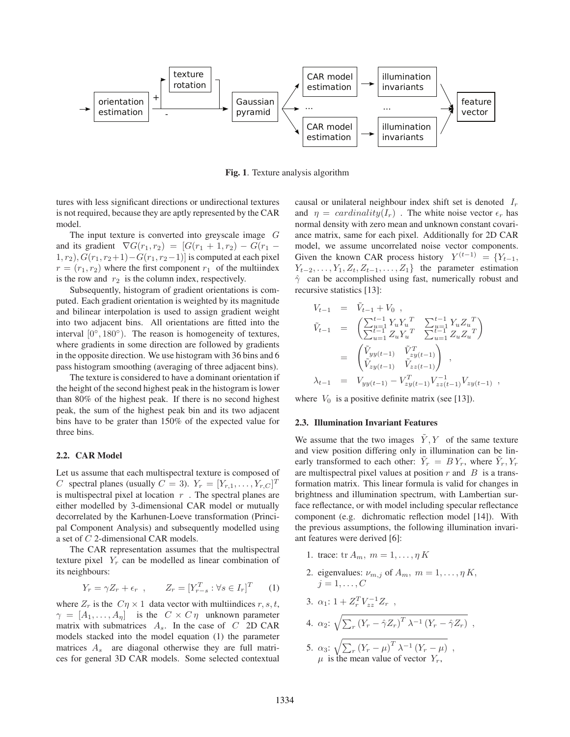

Fig. 1. Texture analysis algorithm

tures with less significant directions or undirectional textures is not required, because they are aptly represented by the CAR model.

The input texture is converted into greyscale image  $G$ and its gradient  $\nabla G(r_1, r_2) = [G(r_1 + 1, r_2) - G(r_1 1, r_2$ ,  $G(r_1, r_2+1)-G(r_1, r_2-1)$  is computed at each pixel  $r = (r_1, r_2)$  where the first component  $r_1$  of the multiindex is the row and  $r_2$  is the column index, respectively.

Subsequently, histogram of gradient orientations is computed. Each gradient orientation is weighted by its magnitude and bilinear interpolation is used to assign gradient weight into two adjacent bins. All orientations are fitted into the interval  $[0^\circ, 180^\circ)$ . The reason is homogeneity of textures, where gradients in some direction are followed by gradients in the opposite direction. We use histogram with 36 bins and 6 pass histogram smoothing (averaging of three adjacent bins).

The texture is considered to have a dominant orientation if the height of the second highest peak in the histogram is lower than 80% of the highest peak. If there is no second highest peak, the sum of the highest peak bin and its two adjacent bins have to be grater than 150% of the expected value for three bins.

#### 2.2. CAR Model

Let us assume that each multispectral texture is composed of C spectral planes (usually  $C = 3$ ).  $Y_r = [Y_{r,1}, \ldots, Y_{r,C}]^T$ is multispectral pixel at location  $r$ . The spectral planes are either modelled by 3-dimensional CAR model or mutually decorrelated by the Karhunen-Loeve transformation (Principal Component Analysis) and subsequently modelled using a set of C 2-dimensional CAR models.

The CAR representation assumes that the multispectral texture pixel  $Y_r$  can be modelled as linear combination of its neighbours:

$$
Y_r = \gamma Z_r + \epsilon_r , \qquad Z_r = [Y_{r-s}^T : \forall s \in I_r]^T \qquad (1)
$$

where  $Z_r$  is the  $C\eta \times 1$  data vector with multiindices  $r, s, t$ ,  $\gamma = [A_1, \ldots, A_n]$  is the  $C \times C \eta$  unknown parameter matrix with submatrices  $A_s$ . In the case of C 2D CAR models stacked into the model equation (1) the parameter matrices  $A_s$  are diagonal otherwise they are full matrices for general 3D CAR models. Some selected contextual causal or unilateral neighbour index shift set is denoted  $I_r$ and  $\eta = cardinality(I_r)$ . The white noise vector  $\epsilon_r$  has normal density with zero mean and unknown constant covariance matrix, same for each pixel. Additionally for 2D CAR model, we assume uncorrelated noise vector components. Given the known CAR process history  $Y^{(t-1)} = \{Y_{t-1},$  $Y_{t-2},\ldots,Y_1,Z_t,Z_{t-1},\ldots,Z_1$ } the parameter estimation  $\hat{\gamma}$  can be accomplished using fast, numerically robust and recursive statistics [13]:

$$
V_{t-1} = \tilde{V}_{t-1} + V_0,
$$
  
\n
$$
\tilde{V}_{t-1} = \begin{pmatrix} \sum_{u=1}^{t-1} Y_u Y_u^T & \sum_{u=1}^{t-1} Y_u Z_u^T \\ \sum_{u=1}^{t-1} Z_u Y_u^T & \sum_{u=1}^{t-1} Z_u Z_u^T \end{pmatrix}
$$
  
\n
$$
= \begin{pmatrix} \tilde{V}_{yy(t-1)} & \tilde{V}_{zy(t-1)}^T \\ \tilde{V}_{zy(t-1)} & \tilde{V}_{zz(t-1)} \end{pmatrix},
$$
  
\n
$$
\lambda_{t-1} = V_{yy(t-1)} - V_{zy(t-1)}^T V_{zz(t-1)}^{-1} V_{zy(t-1)},
$$

where  $V_0$  is a positive definite matrix (see [13]).

#### 2.3. Illumination Invariant Features

We assume that the two images  $\tilde{Y}, Y$  of the same texture and view position differing only in illumination can be linearly transformed to each other:  $\tilde{Y}_r = B Y_r$ , where  $\tilde{Y}_r, Y_r$ are multispectral pixel values at position  $r$  and  $\overline{B}$  is a transformation matrix. This linear formula is valid for changes in brightness and illumination spectrum, with Lambertian surface reflectance, or with model including specular reflectance component (e.g. dichromatic reflection model [14]). With the previous assumptions, the following illumination invariant features were derived [6]:

- 1. trace: tr  $A_m$ ,  $m = 1, \ldots, \eta K$
- 2. eigenvalues:  $\nu_{m,j}$  of  $A_m$ ,  $m = 1, \dots, \eta K$ ,  $i = 1, \ldots, C$

3. 
$$
\alpha_1
$$
: 1 +  $Z_r^T V_{zz}^{-1} Z_r$ ,

4. 
$$
\alpha_2
$$
:  $\sqrt{\sum_r (Y_r - \hat{\gamma} Z_r)^T \lambda^{-1} (Y_r - \hat{\gamma} Z_r)}$ ,

5.  $\alpha_3$ :  $\sqrt{\sum_r (Y_r - \mu)^T \lambda^{-1} (Y_r - \mu)}$ ,  $\mu$  is the mean value of vector  $Y_r$ ,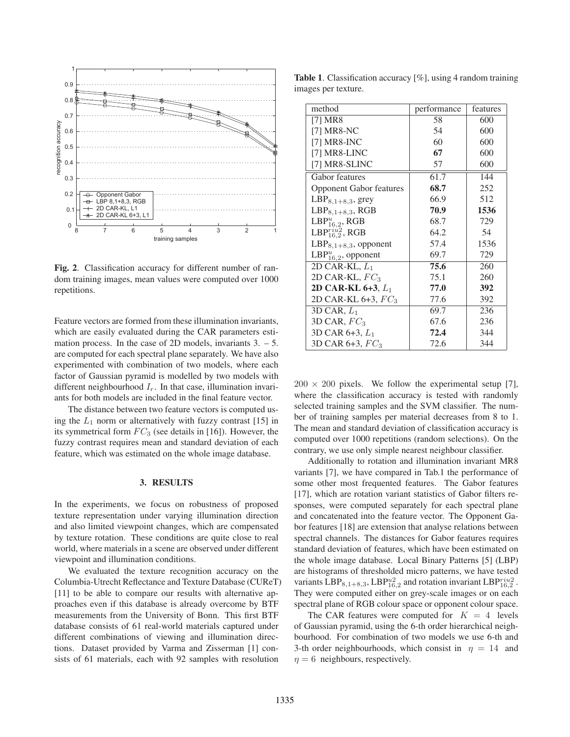

Fig. 2. Classification accuracy for different number of random training images, mean values were computed over 1000 repetitions.

Feature vectors are formed from these illumination invariants, which are easily evaluated during the CAR parameters estimation process. In the case of 2D models, invariants  $3. - 5$ . are computed for each spectral plane separately. We have also experimented with combination of two models, where each factor of Gaussian pyramid is modelled by two models with different neighbourhood  $I_r$ . In that case, illumination invariants for both models are included in the final feature vector.

The distance between two feature vectors is computed using the  $L_1$  norm or alternatively with fuzzy contrast [15] in its symmetrical form  $FC_3$  (see details in [16]). However, the fuzzy contrast requires mean and standard deviation of each feature, which was estimated on the whole image database.

## 3. RESULTS

In the experiments, we focus on robustness of proposed texture representation under varying illumination direction and also limited viewpoint changes, which are compensated by texture rotation. These conditions are quite close to real world, where materials in a scene are observed under different viewpoint and illumination conditions.

We evaluated the texture recognition accuracy on the Columbia-Utrecht Reflectance and Texture Database (CUReT) [11] to be able to compare our results with alternative approaches even if this database is already overcome by BTF measurements from the University of Bonn. This first BTF database consists of 61 real-world materials captured under different combinations of viewing and illumination directions. Dataset provided by Varma and Zisserman [1] consists of 61 materials, each with 92 samples with resolution

Table 1. Classification accuracy [%], using 4 random training images per texture.

| method                         | performance | features |
|--------------------------------|-------------|----------|
| [7] MR8                        | 58          | 600      |
| $[7] MR8-NC$                   | 54          | 600      |
| [7] $MR8-INC$                  | 60          | 600      |
| [7] MR8-LINC                   | 67          | 600      |
| [7] MR8-SLINC                  | 57          | 600      |
| Gabor features                 | 61.7        | 144      |
| <b>Opponent Gabor features</b> | 68.7        | 252      |
| $LBP_{8,1+8,3}$ , grey         | 66.9        | 512      |
| $LBP_{8,1+8,3}$ , RGB          | 70.9        | 1536     |
| $LBP_{16,2}^u$ , RGB           | 68.7        | 729      |
| LBP $_{16,2}^{riu2}$ , RGB     | 64.2        | 54       |
| $LBP_{8,1+8,3}$ , opponent     | 57.4        | 1536     |
| LBP $_{16,2}^u$ , opponent     | 69.7        | 729      |
| 2D CAR-KL, $L_1$               | 75.6        | 260      |
| 2D CAR-KL, $FC_3$              | 75.1        | 260      |
| 2D CAR-KL 6+3, $L_1$           | 77.0        | 392      |
| 2D CAR-KL $6+3$ , $FC_3$       | 77.6        | 392      |
| 3D CAR, $L_1$                  | 69.7        | 236      |
| 3D CAR, $FC_3$                 | 67.6        | 236      |
| 3D CAR $6+3$ , $L_1$           | 72.4        | 344      |
| 3D CAR 6+3, $FC_3$             | 72.6        | 344      |

 $200 \times 200$  pixels. We follow the experimental setup [7], where the classification accuracy is tested with randomly selected training samples and the SVM classifier. The number of training samples per material decreases from 8 to 1. The mean and standard deviation of classification accuracy is computed over 1000 repetitions (random selections). On the contrary, we use only simple nearest neighbour classifier.

Additionally to rotation and illumination invariant MR8 variants [7], we have compared in Tab.1 the performance of some other most frequented features. The Gabor features [17], which are rotation variant statistics of Gabor filters responses, were computed separately for each spectral plane and concatenated into the feature vector. The Opponent Gabor features [18] are extension that analyse relations between spectral channels. The distances for Gabor features requires standard deviation of features, which have been estimated on the whole image database. Local Binary Patterns [5] (LBP) are histograms of thresholded micro patterns, we have tested variants  $LBP_{8,1+8,3}$ ,  $LBP_{16,2}^{u2}$  and rotation invariant  $LBP_{16,2}^{riu2}$ . They were computed either on grey-scale images or on each spectral plane of RGB colour space or opponent colour space.

The CAR features were computed for  $K = 4$  levels of Gaussian pyramid, using the 6-th order hierarchical neighbourhood. For combination of two models we use 6-th and 3-th order neighbourhoods, which consist in  $\eta = 14$  and  $\eta = 6$  neighbours, respectively.